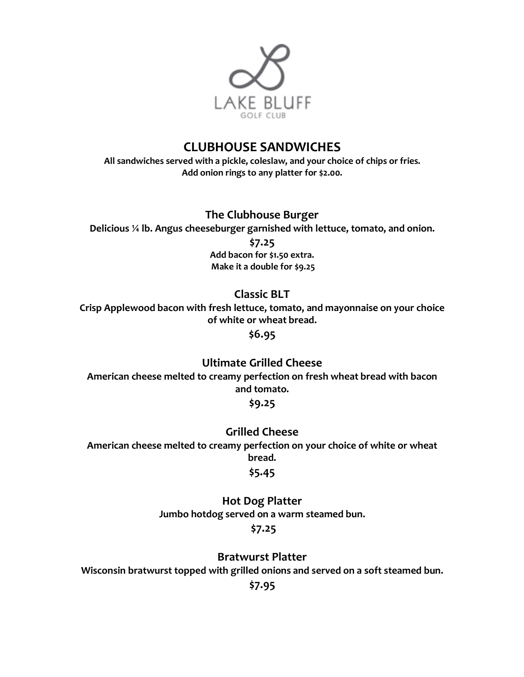

## **CLUBHOUSE SANDWICHES**

**All sandwiches served with a pickle, coleslaw, and your choice of chips or fries. Add onion rings to any platter for \$2.00.**

**The Clubhouse Burger**

**Delicious ¼ lb. Angus cheeseburger garnished with lettuce, tomato, and onion.**

**\$7.25**

**Add bacon for \$1.50 extra. Make it a double for \$9.25**

**Classic BLT**

**Crisp Applewood bacon with fresh lettuce, tomato, and mayonnaise on your choice of white or wheat bread.**

**\$6.95**

**Ultimate Grilled Cheese**

**American cheese melted to creamy perfection on fresh wheat bread with bacon and tomato.**

**\$9.25**

**Grilled Cheese**

**American cheese melted to creamy perfection on your choice of white or wheat bread.**

## **\$5.45**

**Hot Dog Platter Jumbo hotdog served on a warm steamed bun. \$7.25**

**Bratwurst Platter**

**Wisconsin bratwurst topped with grilled onions and served on a soft steamed bun.** 

**\$7.95**